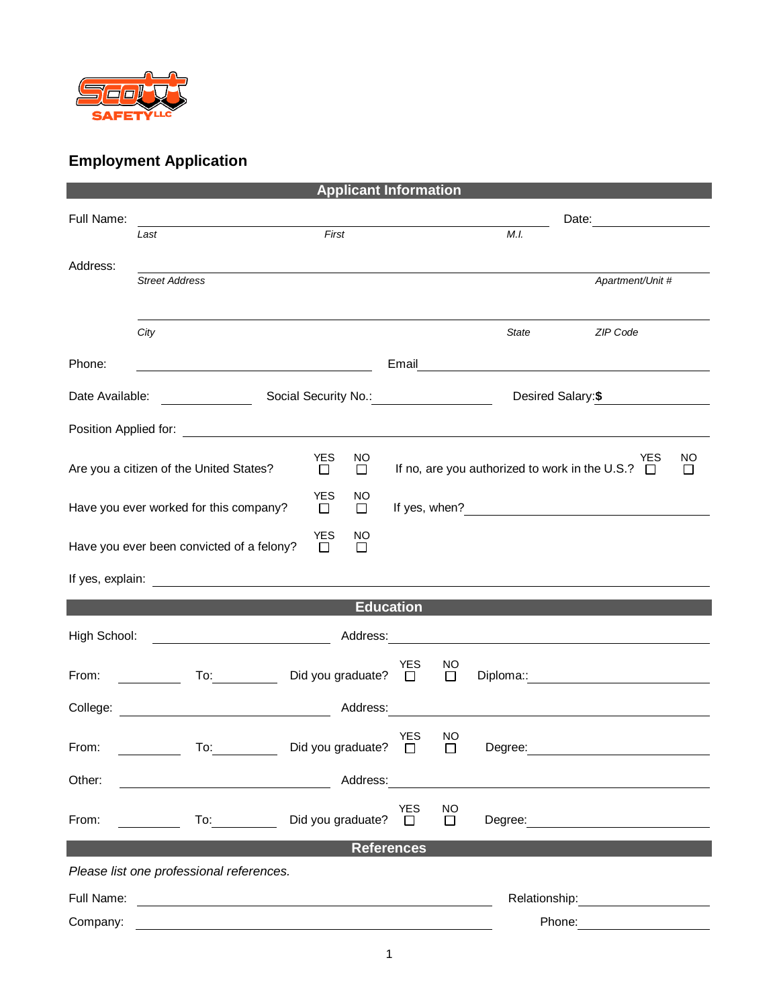

## **Employment Application**

| <b>Applicant Information</b> |                                                                                                                                                                                                                                |                                      |                       |                     |              |                                                                 |               |  |
|------------------------------|--------------------------------------------------------------------------------------------------------------------------------------------------------------------------------------------------------------------------------|--------------------------------------|-----------------------|---------------------|--------------|-----------------------------------------------------------------|---------------|--|
| Full Name:                   |                                                                                                                                                                                                                                | Date: <u>_____________</u>           |                       |                     |              |                                                                 |               |  |
|                              | Last                                                                                                                                                                                                                           | First                                |                       |                     | M.I.         |                                                                 |               |  |
| Address:                     |                                                                                                                                                                                                                                |                                      |                       |                     |              |                                                                 |               |  |
|                              | <b>Street Address</b>                                                                                                                                                                                                          |                                      |                       |                     |              | Apartment/Unit #                                                |               |  |
|                              |                                                                                                                                                                                                                                |                                      |                       |                     |              |                                                                 |               |  |
|                              | City                                                                                                                                                                                                                           |                                      |                       |                     | <b>State</b> | ZIP Code                                                        |               |  |
| Phone:                       |                                                                                                                                                                                                                                |                                      | Email                 |                     |              | <u> 1980 - Andrea Andrew Maria (h. 1980).</u>                   |               |  |
| Date Available:              | Social Security No.: 1990 Married Security No.: 2001                                                                                                                                                                           |                                      |                       |                     |              | Desired Salary: \$                                              |               |  |
|                              |                                                                                                                                                                                                                                |                                      |                       |                     |              |                                                                 |               |  |
|                              | Are you a citizen of the United States?                                                                                                                                                                                        | <b>YES</b><br>NO<br>$\Box$<br>$\Box$ |                       |                     |              | YES<br>If no, are you authorized to work in the U.S.? $\square$ | NO<br>$\perp$ |  |
|                              |                                                                                                                                                                                                                                | <b>YES</b><br>NO.                    |                       |                     |              |                                                                 |               |  |
|                              | Have you ever worked for this company?                                                                                                                                                                                         | $\Box$<br>$\Box$                     |                       |                     |              |                                                                 |               |  |
|                              | Have you ever been convicted of a felony?                                                                                                                                                                                      | <b>YES</b><br>NO<br>$\Box$<br>$\Box$ |                       |                     |              |                                                                 |               |  |
|                              |                                                                                                                                                                                                                                |                                      |                       |                     |              |                                                                 |               |  |
| <b>Education</b>             |                                                                                                                                                                                                                                |                                      |                       |                     |              |                                                                 |               |  |
| High School:                 | <u> 1980 - Johann Barbara, martxa eta </u>                                                                                                                                                                                     | Address:                             |                       |                     |              | <u> 1989 - Johann Stein, Amerikaansk politiker (* 1958)</u>     |               |  |
| From:                        | To: the contract of the contract of the contract of the contract of the contract of the contract of the contract of the contract of the contract of the contract of the contract of the contract of the contract of the contra | Did you graduate?                    | <b>YES</b><br>$\Box$  | <b>NO</b><br>$\Box$ |              |                                                                 |               |  |
|                              | College: <u>__________________________________</u>                                                                                                                                                                             | Address:                             |                       |                     |              |                                                                 |               |  |
| From:                        | To:                                                                                                                                                                                                                            | Did you graduate?                    | <b>YES</b><br>$\perp$ | NO.<br>П            | Degree:      |                                                                 |               |  |
| Other:                       |                                                                                                                                                                                                                                | Address:                             |                       |                     |              |                                                                 |               |  |
|                              |                                                                                                                                                                                                                                |                                      | YES                   | NO                  |              |                                                                 |               |  |
| From:                        | To: the contract of the contract of the contract of the contract of the contract of the contract of the contract of the contract of the contract of the contract of the contract of the contract of the contract of the contra | Did you graduate?                    | $\Box$                | $\Box$              |              | Degree: <u>_____________________</u>                            |               |  |
| <b>References</b>            |                                                                                                                                                                                                                                |                                      |                       |                     |              |                                                                 |               |  |
|                              | Please list one professional references.                                                                                                                                                                                       |                                      |                       |                     |              |                                                                 |               |  |
| Full Name:                   |                                                                                                                                                                                                                                |                                      |                       |                     |              | Relationship: <b>Network</b>                                    |               |  |
| Company:                     |                                                                                                                                                                                                                                |                                      |                       |                     |              | Phone:                                                          |               |  |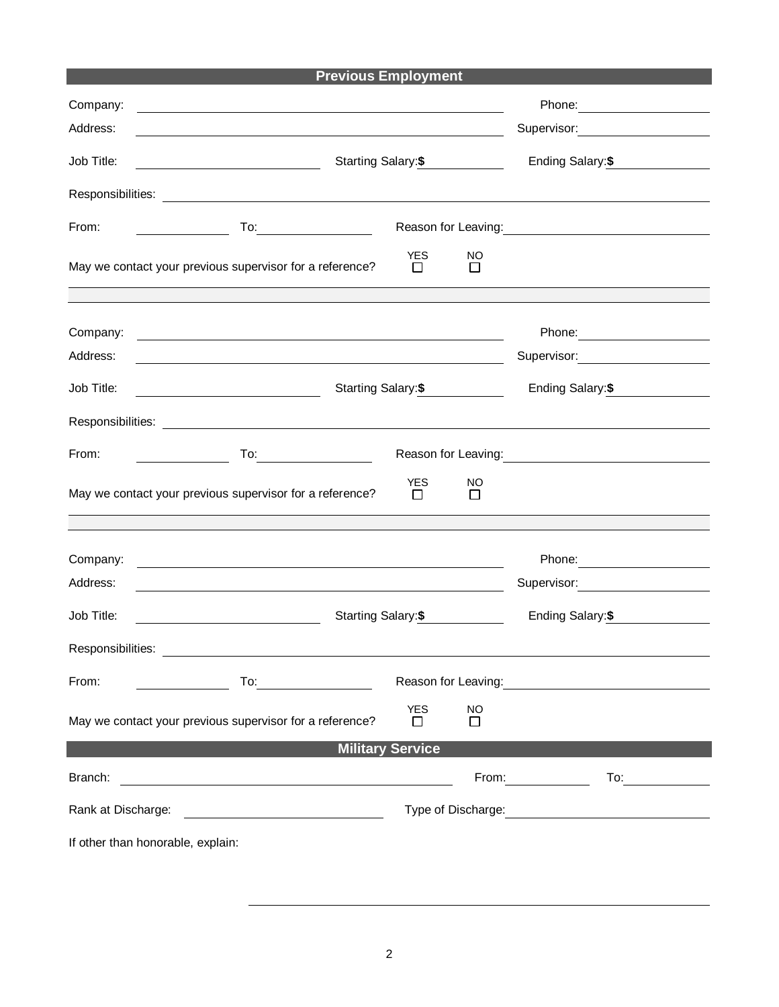| <b>Previous Employment</b> |  |
|----------------------------|--|
|----------------------------|--|

| Company:                                                                                    | <u> 1980 - Jan Samuel Barbara, martin da shekara tsara 1980 - Andrea Samuel Barbara, marka a shekara tsara 1980 - </u>                                                                                                         |                                         |                  | Phone: 2008 2010 2010 2010 2010 2021 2022 2023 2024 2022 2023 2024 2022 2023 2024 2025 2026 2027 2028 2021 20                                                                                                                          |  |  |  |  |  |
|---------------------------------------------------------------------------------------------|--------------------------------------------------------------------------------------------------------------------------------------------------------------------------------------------------------------------------------|-----------------------------------------|------------------|----------------------------------------------------------------------------------------------------------------------------------------------------------------------------------------------------------------------------------------|--|--|--|--|--|
| Address:                                                                                    |                                                                                                                                                                                                                                |                                         |                  | Supervisor: <u>______________</u>                                                                                                                                                                                                      |  |  |  |  |  |
| Job Title:                                                                                  | Starting Salary:\$                                                                                                                                                                                                             | Ending Salary:\$                        |                  |                                                                                                                                                                                                                                        |  |  |  |  |  |
|                                                                                             |                                                                                                                                                                                                                                |                                         |                  |                                                                                                                                                                                                                                        |  |  |  |  |  |
| From:                                                                                       | $To: \begin{tabular}{ c c c } \hline \quad \quad & \quad \quad & \quad \quad \\ \hline \end{tabular}$                                                                                                                          | Reason for Leaving:<br><u> Leaving:</u> |                  |                                                                                                                                                                                                                                        |  |  |  |  |  |
|                                                                                             | May we contact your previous supervisor for a reference?                                                                                                                                                                       | <b>YES</b><br>$\mathsf{L}$              | NO<br>$\perp$    |                                                                                                                                                                                                                                        |  |  |  |  |  |
| Company:                                                                                    | <u> 1980 - Johann Barn, mars ann an t-Amhain Aonaich an t-Aonaich an t-Aonaich an t-Aonaich an t-Aonaich an t-Aon</u>                                                                                                          |                                         |                  | Phone: 2008 2010 2010 2010 2010 2021 2022 2023 2024 2022 2023 2024 2022 2023 2024 2025 2026 2027 2028 2021 20                                                                                                                          |  |  |  |  |  |
| Address:                                                                                    | <u> 1989 - Johann Barbara, martin amerikan basar dan berasal dalam basa dalam basar dalam basar dalam basar dala</u>                                                                                                           |                                         |                  | Supervisor: 2000                                                                                                                                                                                                                       |  |  |  |  |  |
| Job Title:                                                                                  |                                                                                                                                                                                                                                | Starting Salary:\$                      |                  | Ending Salary:\$                                                                                                                                                                                                                       |  |  |  |  |  |
|                                                                                             |                                                                                                                                                                                                                                |                                         |                  |                                                                                                                                                                                                                                        |  |  |  |  |  |
| From:                                                                                       | To: the contract of the contract of the contract of the contract of the contract of the contract of the contract of the contract of the contract of the contract of the contract of the contract of the contract of the contra |                                         |                  |                                                                                                                                                                                                                                        |  |  |  |  |  |
| <b>YES</b><br>NO<br>May we contact your previous supervisor for a reference?<br>П<br>$\Box$ |                                                                                                                                                                                                                                |                                         |                  |                                                                                                                                                                                                                                        |  |  |  |  |  |
| Company:                                                                                    |                                                                                                                                                                                                                                |                                         |                  |                                                                                                                                                                                                                                        |  |  |  |  |  |
| Address:                                                                                    |                                                                                                                                                                                                                                |                                         |                  | Supervisor: Victor Contract Contract Contract Contract Contract Contract Contract Contract Contract Contract Co                                                                                                                        |  |  |  |  |  |
| Job Title:                                                                                  | Starting Salary:\$                                                                                                                                                                                                             |                                         | Ending Salary:\$ |                                                                                                                                                                                                                                        |  |  |  |  |  |
| Responsibilities:                                                                           |                                                                                                                                                                                                                                |                                         |                  |                                                                                                                                                                                                                                        |  |  |  |  |  |
| From:                                                                                       | To: $\overline{\phantom{a}0}$                                                                                                                                                                                                  |                                         |                  | Reason for Leaving:<br><u>Next and the set of the set of the set of the set of the set of the set of the set of the set of the set of the set of the set of the set of the set of the set of the set of the set of the set of the </u> |  |  |  |  |  |
|                                                                                             | May we contact your previous supervisor for a reference?                                                                                                                                                                       | <b>YES</b><br>$\Box$                    | <b>NO</b><br>□   |                                                                                                                                                                                                                                        |  |  |  |  |  |
| <b>Military Service</b>                                                                     |                                                                                                                                                                                                                                |                                         |                  |                                                                                                                                                                                                                                        |  |  |  |  |  |
| Branch:                                                                                     | <u> 1980 - Johann Barn, mars ann an t-Amhain Aonaich an t-Aonaich an t-Aonaich ann an t-Aonaich ann an t-Aonaich</u>                                                                                                           |                                         |                  | From: $\qquad \qquad$                                                                                                                                                                                                                  |  |  |  |  |  |
| Rank at Discharge:                                                                          |                                                                                                                                                                                                                                |                                         |                  |                                                                                                                                                                                                                                        |  |  |  |  |  |
| If other than honorable, explain:                                                           |                                                                                                                                                                                                                                |                                         |                  |                                                                                                                                                                                                                                        |  |  |  |  |  |